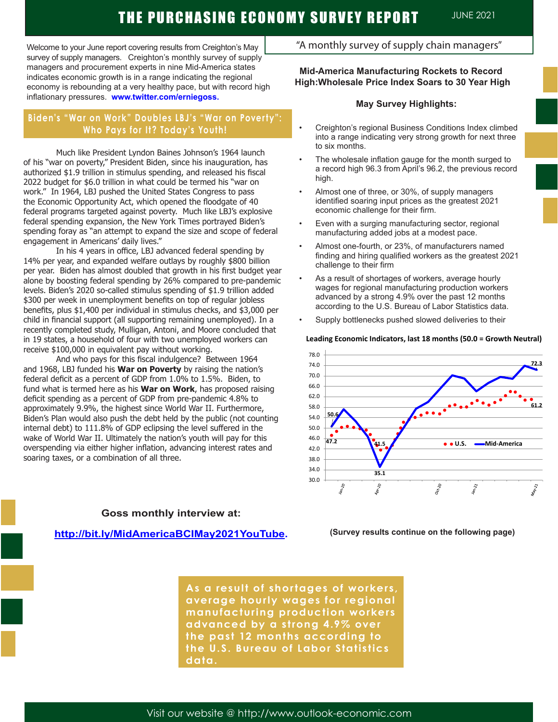Welcome to your June report covering results from Creighton's May survey of supply managers. Creighton's monthly survey of supply managers and procurement experts in nine Mid-America states indicates economic growth is in a range indicating the regional economy is rebounding at a very healthy pace, but with record high inflationary pressures. **www.twitter.com/erniegoss.**

# **Biden's "War on Work" Doubles LBJ's "War on Poverty": Who Pays for It? Today's Youth!**

Much like President Lyndon Baines Johnson's 1964 launch of his "war on poverty," President Biden, since his inauguration, has authorized \$1.9 trillion in stimulus spending, and released his fiscal 2022 budget for \$6.0 trillion in what could be termed his "war on work." In 1964, LBJ pushed the United States Congress to pass the Economic Opportunity Act, which opened the floodgate of 40 federal programs targeted against poverty. Much like LBJ's explosive federal spending expansion, the New York Times portrayed Biden's spending foray as "an attempt to expand the size and scope of federal engagement in Americans' daily lives."

In his 4 years in office, LBJ advanced federal spending by 14% per year, and expanded welfare outlays by roughly \$800 billion per year. Biden has almost doubled that growth in his first budget year alone by boosting federal spending by 26% compared to pre-pandemic levels. Biden's 2020 so-called stimulus spending of \$1.9 trillion added \$300 per week in unemployment benefits on top of regular jobless benefits, plus \$1,400 per individual in stimulus checks, and \$3,000 per child in financial support (all supporting remaining unemployed). In a recently completed study, Mulligan, Antoni, and Moore concluded that in 19 states, a household of four with two unemployed workers can receive \$100,000 in equivalent pay without working.

And who pays for this fiscal indulgence? Between 1964 and 1968, LBJ funded his **War on Poverty** by raising the nation's federal deficit as a percent of GDP from 1.0% to 1.5%. Biden, to fund what is termed here as his **War on Work**, has proposed raising deficit spending as a percent of GDP from pre-pandemic 4.8% to approximately 9.9%, the highest since World War II. Furthermore, Biden's Plan would also push the debt held by the public (not counting internal debt) to 111.8% of GDP eclipsing the level suffered in the wake of World War II. Ultimately the nation's youth will pay for this overspending via either higher inflation, advancing interest rates and soaring taxes, or a combination of all three.

**Goss monthly interview at:** 

## **http://bit.ly/MidAmericaBCIMay2021YouTube.**

# Visit our website @ http://www.outlook-economic.com

"A monthly survey of supply chain managers"

## **Mid-America Manufacturing Rockets to Record High:Wholesale Price Index Soars to 30 Year High**

## **May Survey Highlights:**

- Creighton's regional Business Conditions Index climbed into a range indicating very strong growth for next three to six months.
- The wholesale inflation gauge for the month surged to a record high 96.3 from April's 96.2, the previous record high.
- Almost one of three, or 30%, of supply managers identified soaring input prices as the greatest 2021 economic challenge for their firm.
- Even with a surging manufacturing sector, regional manufacturing added jobs at a modest pace.
- Almost one-fourth, or 23%, of manufacturers named finding and hiring qualified workers as the greatest 2021 challenge to their firm
- As a result of shortages of workers, average hourly wages for regional manufacturing production workers advanced by a strong 4.9% over the past 12 months according to the U.S. Bureau of Labor Statistics data.
- Supply bottlenecks pushed slowed deliveries to their

### **Leading Economic Indicators, last 18 months (50.0 = Growth Neutral)**



**(Survey results continue on the following page)**

**As a result of shortages of workers, average hourly wages for regional manufacturing production workers advanced by a strong 4.9% over the past 12 months according to the U.S. Bureau of Labor Statistics data.**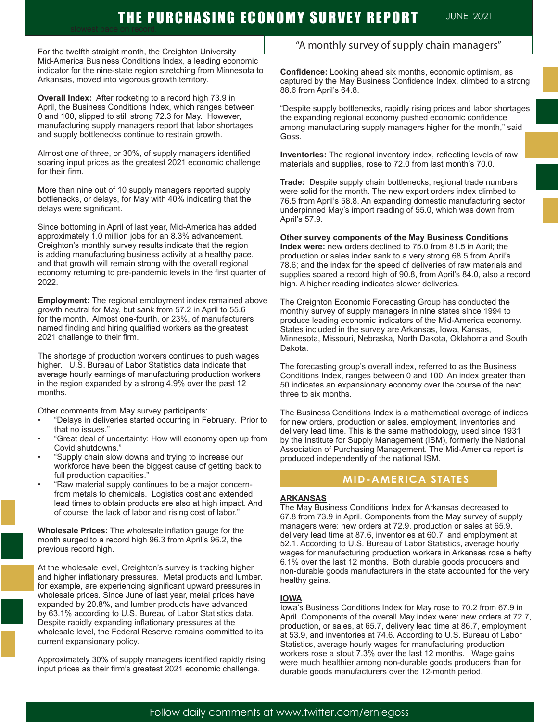# THE PURCHASING ECONOMY SURVEY REPORT JUNE 2021

For the twelfth straight month, the Creighton University Mid-America Business Conditions Index, a leading economic indicator for the nine-state region stretching from Minnesota to Arkansas, moved into vigorous growth territory.

**Overall Index:** After rocketing to a record high 73.9 in April, the Business Conditions Index, which ranges between 0 and 100, slipped to still strong 72.3 for May. However, manufacturing supply managers report that labor shortages and supply bottlenecks continue to restrain growth.

Almost one of three, or 30%, of supply managers identified soaring input prices as the greatest 2021 economic challenge for their firm.

More than nine out of 10 supply managers reported supply bottlenecks, or delays, for May with 40% indicating that the delays were significant.

Since bottoming in April of last year, Mid-America has added approximately 1.0 million jobs for an 8.3% advancement. Creighton's monthly survey results indicate that the region is adding manufacturing business activity at a healthy pace, and that growth will remain strong with the overall regional economy returning to pre-pandemic levels in the first quarter of 2022.

**Employment:** The regional employment index remained above growth neutral for May, but sank from 57.2 in April to 55.6 for the month. Almost one-fourth, or 23%, of manufacturers named finding and hiring qualified workers as the greatest 2021 challenge to their firm.

The shortage of production workers continues to push wages higher. U.S. Bureau of Labor Statistics data indicate that average hourly earnings of manufacturing production workers in the region expanded by a strong 4.9% over the past 12 months.

Other comments from May survey participants:

- "Delays in deliveries started occurring in February. Prior to that no issues."
- "Great deal of uncertainty: How will economy open up from Covid shutdowns."
- "Supply chain slow downs and trying to increase our workforce have been the biggest cause of getting back to full production capacities."
- "Raw material supply continues to be a major concernfrom metals to chemicals. Logistics cost and extended lead times to obtain products are also at high impact. And of course, the lack of labor and rising cost of labor."

**Wholesale Prices:** The wholesale inflation gauge for the month surged to a record high 96.3 from April's 96.2, the previous record high.

At the wholesale level, Creighton's survey is tracking higher and higher inflationary pressures. Metal products and lumber, for example, are experiencing significant upward pressures in wholesale prices. Since June of last year, metal prices have expanded by 20.8%, and lumber products have advanced by 63.1% according to U.S. Bureau of Labor Statistics data. Despite rapidly expanding inflationary pressures at the wholesale level, the Federal Reserve remains committed to its current expansionary policy.

Approximately 30% of supply managers identified rapidly rising input prices as their firm's greatest 2021 economic challenge.

## "A monthly survey of supply chain managers"

**Confidence:** Looking ahead six months, economic optimism, as captured by the May Business Confidence Index, climbed to a strong 88.6 from April's 64.8.

"Despite supply bottlenecks, rapidly rising prices and labor shortages the expanding regional economy pushed economic confidence among manufacturing supply managers higher for the month," said Goss.

**Inventories:** The regional inventory index, reflecting levels of raw materials and supplies, rose to 72.0 from last month's 70.0.

**Trade:** Despite supply chain bottlenecks, regional trade numbers were solid for the month. The new export orders index climbed to 76.5 from April's 58.8. An expanding domestic manufacturing sector underpinned May's import reading of 55.0, which was down from April's 57.9.

**Other survey components of the May Business Conditions Index were:** new orders declined to 75.0 from 81.5 in April; the production or sales index sank to a very strong 68.5 from April's 78.6; and the index for the speed of deliveries of raw materials and supplies soared a record high of 90.8, from April's 84.0, also a record high. A higher reading indicates slower deliveries.

The Creighton Economic Forecasting Group has conducted the monthly survey of supply managers in nine states since 1994 to produce leading economic indicators of the Mid-America economy. States included in the survey are Arkansas, Iowa, Kansas, Minnesota, Missouri, Nebraska, North Dakota, Oklahoma and South Dakota.

The forecasting group's overall index, referred to as the Business Conditions Index, ranges between 0 and 100. An index greater than 50 indicates an expansionary economy over the course of the next three to six months.

The Business Conditions Index is a mathematical average of indices for new orders, production or sales, employment, inventories and delivery lead time. This is the same methodology, used since 1931 by the Institute for Supply Management (ISM), formerly the National Association of Purchasing Management. The Mid-America report is produced independently of the national ISM.

## **MID-AMERICA STATES**

#### **ARKANSAS**

The May Business Conditions Index for Arkansas decreased to 67.8 from 73.9 in April. Components from the May survey of supply managers were: new orders at 72.9, production or sales at 65.9, delivery lead time at 87.6, inventories at 60.7, and employment at 52.1. According to U.S. Bureau of Labor Statistics, average hourly wages for manufacturing production workers in Arkansas rose a hefty 6.1% over the last 12 months. Both durable goods producers and non-durable goods manufacturers in the state accounted for the very healthy gains.

#### **IOWA**

Iowa's Business Conditions Index for May rose to 70.2 from 67.9 in April. Components of the overall May index were: new orders at 72.7, production, or sales, at 65.7, delivery lead time at 86.7, employment at 53.9, and inventories at 74.6. According to U.S. Bureau of Labor Statistics, average hourly wages for manufacturing production workers rose a stout 7.3% over the last 12 months. Wage gains were much healthier among non-durable goods producers than for durable goods manufacturers over the 12-month period.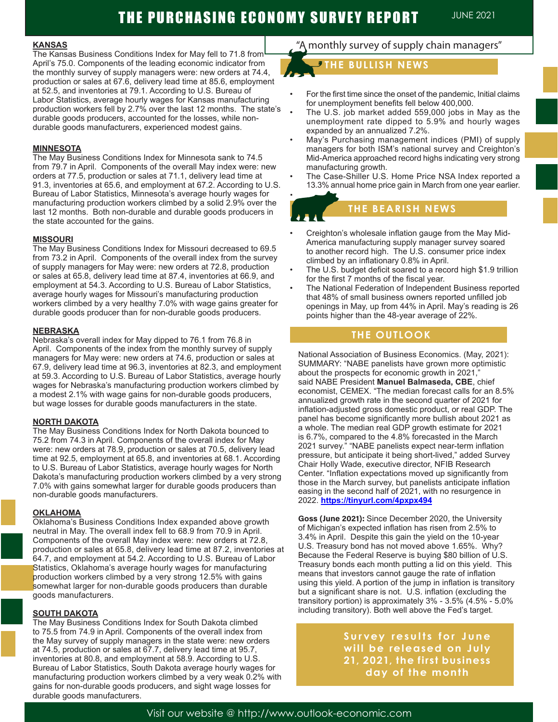# THE PURCHASING ECONOMY SURVEY REPORT JUNE 2021

• Ī

l.<br>T

I

#### **KANSAS**

The Kansas Business Conditions Index for May fell to 71.8 from April's 75.0. Components of the leading economic indicator from the monthly survey of supply managers were: new orders at 74.4, production or sales at 67.6, delivery lead time at 85.6, employment at 52.5, and inventories at 79.1. According to U.S. Bureau of Labor Statistics, average hourly wages for Kansas manufacturing production workers fell by 2.7% over the last 12 months. The state's durable goods producers, accounted for the losses, while nondurable goods manufacturers, experienced modest gains.

#### **MINNESOTA**

The May Business Conditions Index for Minnesota sank to 74.5 from 79.7 in April. Components of the overall May index were: new orders at 77.5, production or sales at 71.1, delivery lead time at 91.3, inventories at 65.6, and employment at 67.2. According to U.S. Bureau of Labor Statistics, Minnesota's average hourly wages for manufacturing production workers climbed by a solid 2.9% over the last 12 months. Both non-durable and durable goods producers in the state accounted for the gains.

#### **MISSOURI**

The May Business Conditions Index for Missouri decreased to 69.5 from 73.2 in April. Components of the overall index from the survey of supply managers for May were: new orders at 72.8, production or sales at 65.8, delivery lead time at 87.4, inventories at 66.9, and employment at 54.3. According to U.S. Bureau of Labor Statistics, average hourly wages for Missouri's manufacturing production workers climbed by a very healthy 7.0% with wage gains greater for durable goods producer than for non-durable goods producers.

#### **NEBRASKA**

Nebraska's overall index for May dipped to 76.1 from 76.8 in April. Components of the index from the monthly survey of supply managers for May were: new orders at 74.6, production or sales at 67.9, delivery lead time at 96.3, inventories at 82.3, and employment at 59.3. According to U.S. Bureau of Labor Statistics, average hourly wages for Nebraska's manufacturing production workers climbed by a modest 2.1% with wage gains for non-durable goods producers, but wage losses for durable goods manufacturers in the state.

#### **NORTH DAKOTA**

The May Business Conditions Index for North Dakota bounced to 75.2 from 74.3 in April. Components of the overall index for May were: new orders at 78.9, production or sales at 70.5, delivery lead time at 92.5, employment at 65.8, and inventories at 68.1. According to U.S. Bureau of Labor Statistics, average hourly wages for North Dakota's manufacturing production workers climbed by a very strong 7.0% with gains somewhat larger for durable goods producers than non-durable goods manufacturers.

#### **OKLAHOMA**

Oklahoma's Business Conditions Index expanded above growth neutral in May. The overall index fell to 68.9 from 70.9 in April. Components of the overall May index were: new orders at 72.8, production or sales at 65.8, delivery lead time at 87.2, inventories at 64.7, and employment at 54.2. According to U.S. Bureau of Labor Statistics, Oklahoma's average hourly wages for manufacturing production workers climbed by a very strong 12.5% with gains somewhat larger for non-durable goods producers than durable goods manufacturers.

#### **SOUTH DAKOTA**

The May Business Conditions Index for South Dakota climbed to 75.5 from 74.9 in April. Components of the overall index from the May survey of supply managers in the state were: new orders at 74.5, production or sales at 67.7, delivery lead time at 95.7, inventories at 80.8, and employment at 58.9. According to U.S. Bureau of Labor Statistics, South Dakota average hourly wages for manufacturing production workers climbed by a very weak 0.2% with gains for non-durable goods producers, and sight wage losses for durable goods manufacturers.

# "A monthly survey of supply chain managers"

# **THE BULLISH NEWS**

- For the first time since the onset of the pandemic, Initial claims for unemployment benefits fell below 400,000.
- The U.S. job market added 559,000 jobs in May as the unemployment rate dipped to 5.9% and hourly wages expanded by an annualized 7.2%.
- May's Purchasing management indices (PMI) of supply managers for both ISM's national survey and Creighton's Mid-America approached record highs indicating very strong manufacturing growth.
- The Case-Shiller U.S. Home Price NSA Index reported a 13.3% annual home price gain in March from one year earlier.

# **THE BEARISH NEWS THE BEARISH NEWS**

- Creighton's wholesale inflation gauge from the May Mid-America manufacturing supply manager survey soared to another record high. The U.S. consumer price index climbed by an inflationary 0.8% in April.
- The U.S. budget deficit soared to a record high \$1.9 trillion for the first 7 months of the fiscal year.
- The National Federation of Independent Business reported that 48% of small business owners reported unfilled job openings in May, up from 44% in April. May's reading is 26 points higher than the 48-year average of 22%.

## **THE OUTLOOK**

National Association of Business Economics. (May, 2021): SUMMARY: "NABE panelists have grown more optimistic about the prospects for economic growth in 2021," said NABE President **Manuel Balmaseda, CBE**, chief economist, CEMEX. "The median forecast calls for an 8.5% annualized growth rate in the second quarter of 2021 for inflation-adjusted gross domestic product, or real GDP. The panel has become significantly more bullish about 2021 as a whole. The median real GDP growth estimate for 2021 is 6.7%, compared to the 4.8% forecasted in the March 2021 survey." "NABE panelists expect near-term inflation pressure, but anticipate it being short-lived," added Survey Chair Holly Wade, executive director, NFIB Research Center. "Inflation expectations moved up significantly from those in the March survey, but panelists anticipate inflation easing in the second half of 2021, with no resurgence in 2022. **https://tinyurl.com/4pxpx494**

**Goss (June 2021):** Since December 2020, the University of Michigan's expected inflation has risen from 2.5% to 3.4% in April. Despite this gain the yield on the 10-year U.S. Treasury bond has not moved above 1.65%. Why? Because the Federal Reserve is buying \$80 billion of U.S. Treasury bonds each month putting a lid on this yield. This means that investors cannot gauge the rate of inflation using this yield. A portion of the jump in inflation is transitory but a significant share is not. U.S. inflation (excluding the transitory portion) is approximately 3% - 3.5% (4.5% - 5.0% including transitory). Both well above the Fed's target.

> **Survey results for June will be released on July 21, 2021, the first business day of the month**

Visit our website @ http://www.outlook-economic.com

T TO WATC**H**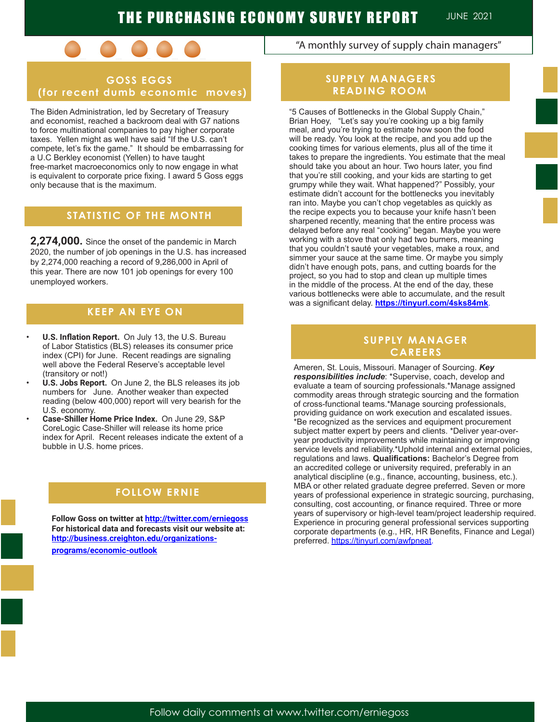

# **GOSS EGGS (for recent dumb economic moves)**

The Biden Administration, led by Secretary of Treasury and economist, reached a backroom deal with G7 nations to force multinational companies to pay higher corporate taxes. Yellen might as well have said "If the U.S. can't compete, let's fix the game." It should be embarrassing for a U.C Berkley economist (Yellen) to have taught free-market macroeconomics only to now engage in what is equivalent to corporate price fixing. I award 5 Goss eggs only because that is the maximum.

# **STATISTIC OF THE MONTH**

**2,274,000.** Since the onset of the pandemic in March 2020, the number of job openings in the U.S. has increased by 2,274,000 reaching a record of 9,286,000 in April of this year. There are now 101 job openings for every 100 unemployed workers.

# **KEEP AN EYE ON**

- **• U.S. Inflation Report.** On July 13, the U.S. Bureau of Labor Statistics (BLS) releases its consumer price index (CPI) for June. Recent readings are signaling well above the Federal Reserve's acceptable level (transitory or not!)
- **• U.S. Jobs Report.** On June 2, the BLS releases its job numbers for June. Another weaker than expected reading (below 400,000) report will very bearish for the U.S. economy.
- **• Case-Shiller Home Price Index.** On June 29, S&P CoreLogic Case-Shiller will release its home price index for April. Recent releases indicate the extent of a bubble in U.S. home prices.

### **SUPPLY MANAGERIER CAREERS A FOLLO**

**Follow Goss on twitter at http://twitter.com/erniegoss For historical data and forecasts visit our website at: http://business.creighton.edu/organizationsprograms/economic-outlook** 

"A monthly survey of supply chain managers"

# **SUPPLY MANAGERS READING ROOM**

"5 Causes of Bottlenecks in the Global Supply Chain," Brian Hoey, "Let's say you're cooking up a big family meal, and you're trying to estimate how soon the food will be ready. You look at the recipe, and you add up the cooking times for various elements, plus all of the time it takes to prepare the ingredients. You estimate that the meal should take you about an hour. Two hours later, you find that you're still cooking, and your kids are starting to get grumpy while they wait. What happened?" Possibly, your estimate didn't account for the bottlenecks you inevitably ran into. Maybe you can't chop vegetables as quickly as the recipe expects you to because your knife hasn't been sharpened recently, meaning that the entire process was delayed before any real "cooking" began. Maybe you were working with a stove that only had two burners, meaning that you couldn't sauté your vegetables, make a roux, and simmer your sauce at the same time. Or maybe you simply didn't have enough pots, pans, and cutting boards for the project, so you had to stop and clean up multiple times in the middle of the process. At the end of the day, these various bottlenecks were able to accumulate, and the result was a significant delay. **https://tinyurl.com/4sks84mk**.

## **SUPPLY MANAGER CAREERS**

Ameren, St. Louis, Missouri. Manager of Sourcing. *Key responsibilities include*: \*Supervise, coach, develop and evaluate a team of sourcing professionals.\*Manage assigned commodity areas through strategic sourcing and the formation of cross-functional teams.\*Manage sourcing professionals, providing guidance on work execution and escalated issues. \*Be recognized as the services and equipment procurement subject matter expert by peers and clients. \*Deliver year-overyear productivity improvements while maintaining or improving service levels and reliability.\*Uphold internal and external policies, regulations and laws. **Qualifications:** Bachelor's Degree from an accredited college or university required, preferably in an analytical discipline (e.g., finance, accounting, business, etc.). MBA or other related graduate degree preferred. Seven or more years of professional experience in strategic sourcing, purchasing, consulting, cost accounting, or finance required. Three or more years of supervisory or high-level team/project leadership required. Experience in procuring general professional services supporting corporate departments (e.g., HR, HR Benefits, Finance and Legal) preferred. https://tinyurl.com/awfpneat.